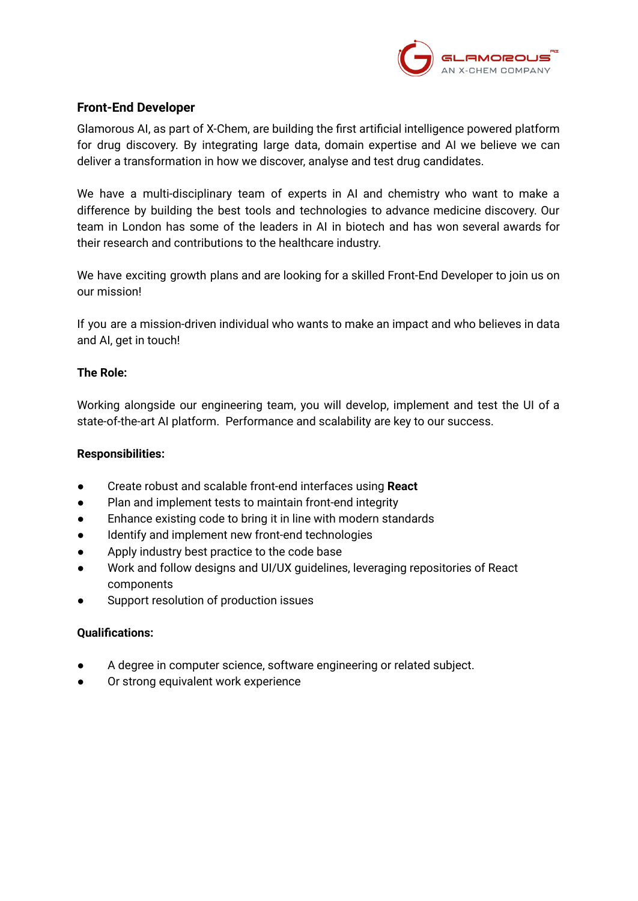

# **Front-End Developer**

Glamorous AI, as part of X-Chem, are building the first artificial intelligence powered platform for drug discovery. By integrating large data, domain expertise and AI we believe we can deliver a transformation in how we discover, analyse and test drug candidates.

We have a multi-disciplinary team of experts in AI and chemistry who want to make a difference by building the best tools and technologies to advance medicine discovery. Our team in London has some of the leaders in AI in biotech and has won several awards for their research and contributions to the healthcare industry.

We have exciting growth plans and are looking for a skilled Front-End Developer to join us on our mission!

If you are a mission-driven individual who wants to make an impact and who believes in data and AI, get in touch!

## **The Role:**

Working alongside our engineering team, you will develop, implement and test the UI of a state-of-the-art AI platform. Performance and scalability are key to our success.

### **Responsibilities:**

- Create robust and scalable front-end interfaces using **React**
- Plan and implement tests to maintain front-end integrity
- Enhance existing code to bring it in line with modern standards
- Identify and implement new front-end technologies
- Apply industry best practice to the code base
- Work and follow designs and UI/UX guidelines, leveraging repositories of React components
- Support resolution of production issues

#### **Qualifications:**

- **●** A degree in computer science, software engineering or related subject.
- Or strong equivalent work experience